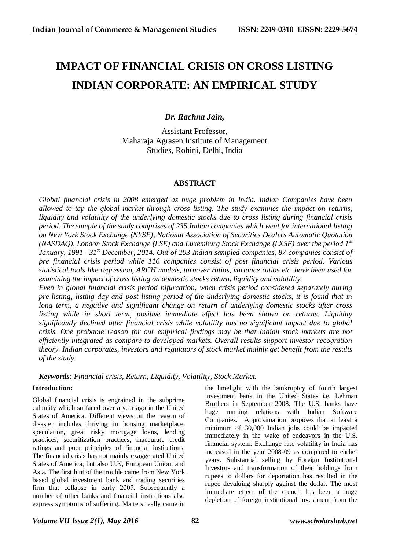# **IMPACT OF FINANCIAL CRISIS ON CROSS LISTING INDIAN CORPORATE: AN EMPIRICAL STUDY**

# *Dr. Rachna Jain,*

Assistant Professor, Maharaja Agrasen Institute of Management Studies, Rohini, Delhi, India

## **ABSTRACT**

*Global financial crisis in 2008 emerged as huge problem in India. Indian Companies have been allowed to tap the global market through cross listing. The study examines the impact on returns, liquidity and volatility of the underlying domestic stocks due to cross listing during financial crisis period. The sample of the study comprises of 235 Indian companies which went for international listing on New York Stock Exchange (NYSE), National Association of Securities Dealers Automatic Quotation (NASDAQ), London Stock Exchange (LSE) and Luxemburg Stock Exchange (LXSE) over the period 1st January, 1991 –31st December, 2014. Out of 203 Indian sampled companies, 87 companies consist of pre financial crisis period while 116 companies consist of post financial crisis period. Various statistical tools like regression, ARCH models, turnover ratios, variance ratios etc. have been used for examining the impact of cross listing on domestic stocks return, liquidity and volatility.*

*Even in global financial crisis period bifurcation, when crisis period considered separately during pre-listing, listing day and post listing period of the underlying domestic stocks, it is found that in long term, a negative and significant change on return of underlying domestic stocks after cross listing while in short term, positive immediate effect has been shown on returns. Liquidity significantly declined after financial crisis while volatility has no significant impact due to global crisis. One probable reason for our empirical findings may be that Indian stock markets are not efficiently integrated as compare to developed markets. Overall results support investor recognition theory. Indian corporates, investors and regulators of stock market mainly get benefit from the results of the study.*

*Keywords: Financial crisis, Return, Liquidity, Volatility, Stock Market.*

## **Introduction:**

Global financial crisis is engrained in the subprime calamity which surfaced over a year ago in the United States of America. Different views on the reason of disaster includes thriving in housing marketplace, speculation, great risky mortgage loans, lending practices, securitization practices, inaccurate credit ratings and poor principles of financial institutions. The financial crisis has not mainly exaggerated United States of America, but also U.K, European Union, and Asia. The first hint of the trouble came from New York based global investment bank and trading securities firm that collapse in early 2007. Subsequently a number of other banks and financial institutions also express symptoms of suffering. Matters really came in

the limelight with the bankruptcy of fourth largest investment bank in the United States i.e. Lehman Brothers in September 2008. The U.S. banks have huge running relations with Indian Software Companies. Approximation proposes that at least a minimum of 30,000 Indian jobs could be impacted immediately in the wake of endeavors in the U.S. financial system. Exchange rate volatility in India has increased in the year 2008-09 as compared to earlier years. Substantial selling by Foreign Institutional Investors and transformation of their holdings from rupees to dollars for deportation has resulted in the rupee devaluing sharply against the dollar. The most immediate effect of the crunch has been a huge depletion of foreign institutional investment from the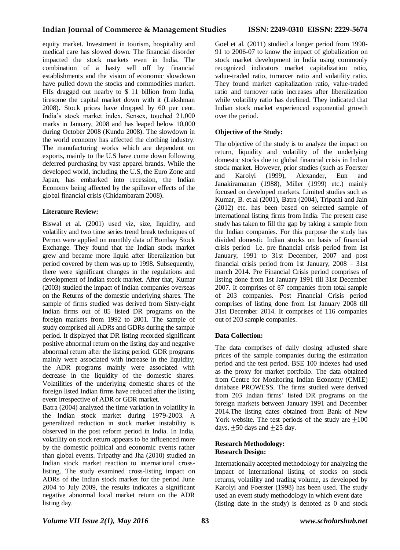equity market. Investment in tourism, hospitality and medical care has slowed down. The financial disorder impacted the stock markets even in India. The combination of a hasty sell off by financial establishments and the vision of economic slowdown have pulled down the stocks and commodities market. FIIs dragged out nearby to \$ 11 billion from India, tiresome the capital market down with it (Lakshman 2008). Stock prices have dropped by 60 per cent. India's stock market index, Sensex, touched 21,000 marks in January, 2008 and has leaped below 10,000 during October 2008 (Kundu 2008). The slowdown in the world economy has affected the clothing industry. The manufacturing works which are dependent on exports, mainly to the U.S have come down following deferred purchasing by vast apparel brands. While the developed world, including the U.S, the Euro Zone and Japan, has embarked into recession, the Indian Economy being affected by the spillover effects of the global financial crisis (Chidambaram 2008).

## **Literature Review:**

Biswal et al. (2001) used viz, size, liquidity, and volatility and two time series trend break techniques of Perron were applied on monthly data of Bombay Stock Exchange. They found that the Indian stock market grew and became more liquid after liberalization but period covered by them was up to 1998. Subsequently, there were significant changes in the regulations and development of Indian stock market. After that, Kumar (2003) studied the impact of Indian companies overseas on the Returns of the domestic underlying shares. The sample of firms studied was derived from Sixty-eight Indian firms out of 85 listed DR programs on the foreign markets from 1992 to 2001. The sample of study comprised all ADRs and GDRs during the sample period. It displayed that DR listing recorded significant positive abnormal return on the listing day and negative abnormal return after the listing period. GDR programs mainly were associated with increase in the liquidity; the ADR programs mainly were associated with decrease in the liquidity of the domestic shares. Volatilities of the underlying domestic shares of the foreign listed Indian firms have reduced after the listing event irrespective of ADR or GDR market.

Batra (2004) analyzed the time variation in volatility in the Indian stock market during 1979-2003. A generalized reduction in stock market instability is observed in the post reform period in India. In India, volatility on stock return appears to be influenced more by the domestic political and economic events rather than global events. Tripathy and Jha (2010) studied an Indian stock market reaction to international crosslisting. The study examined cross-listing impact on ADRs of the Indian stock market for the period June 2004 to July 2009, the results indicates a significant negative abnormal local market return on the ADR listing day.

Goel et al. (2011) studied a longer period from 1990- 91 to 2006-07 to know the impact of globalization on stock market development in India using commonly recognized indicators market capitalization ratio, value-traded ratio, turnover ratio and volatility ratio. They found market capitalization ratio, value-traded ratio and turnover ratio increases after liberalization while volatility ratio has declined. They indicated that Indian stock market experienced exponential growth over the period.

## **Objective of the Study:**

The objective of the study is to analyze the impact on return, liquidity and volatility of the underlying domestic stocks due to global financial crisis in Indian stock market. However, prior studies (such as Foerster and Karolyi (1999), Alexander, Eun and Janakiramanan (1988), Miller (1999) etc.) mainly focused on developed markets. Limited studies such as Kumar, B. et.al (2001), Batra (2004), Tripathi and Jain (2012) etc. has been based on selected sample of international listing firms from India. The present case study has taken to fill the gap by taking a sample from the Indian companies. For this purpose the study has divided domestic Indian stocks on basis of financial crisis period i.e. pre financial crisis period from 1st January, 1991 to 31st December, 2007 and post financial crisis period from 1st January, 2008 – 31st march 2014. Pre Financial Crisis period comprises of listing done from 1st January 1991 till 31st December 2007. It comprises of 87 companies from total sample of 203 companies. Post Financial Crisis period comprises of listing done from 1st January 2008 till 31st December 2014. It comprises of 116 companies out of 203 sample companies.

## **Data Collection:**

The data comprises of daily closing adjusted share prices of the sample companies during the estimation period and the test period. BSE 100 indexes had used as the proxy for market portfolio. The data obtained from Centre for Monitoring Indian Economy (CMIE) database PROWESS. The firms studied were derived from 203 Indian firms' listed DR programs on the foreign markets between January 1991 and December 2014.The listing dates obtained from Bank of New York website. The test periods of the study are  $\pm 100$ days,  $\pm 50$  days and  $\pm 25$  day.

## **Research Methodology: Research Design:**

Internationally accepted methodology for analyzing the impact of international listing of stocks on stock returns, volatility and trading volume, as developed by Karolyi and Foerster (1998) has been used. The study used an event study methodology in which event date (listing date in the study) is denoted as 0 and stock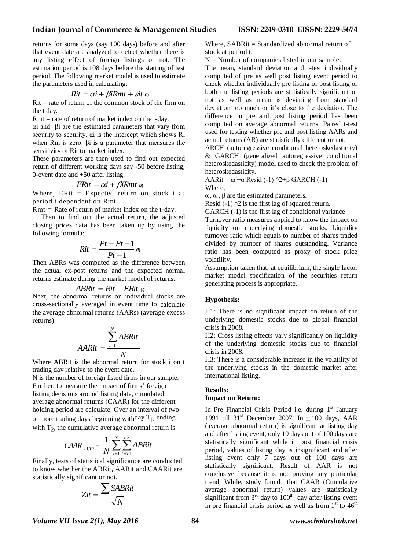returns for some days (say 100 days) before and after that event date are analyzed to detect whether there is any listing effect of foreign listings or not. The estimation period is 108 days before the starting of test period. The following market model is used to estimate the parameters used in calculating:

$$
Rit = \alpha i + \beta i Rmt + \varepsilon it
$$

 $Rit = rate of return of the common stock of the firm on$ the t day.

 $Rmt = rate of return of market index on the t-day.$ 

αi and βi are the estimated parameters that vary from security to security. αi is the intercept which shows Ri when Rm is zero. βi is a parameter that measures the sensitivity of Rit to market index.

These parameters are then used to find out expected return of different working days say -50 before listing, 0-event date and +50 after listing.

# $ERit = \alpha i + \beta iRmt \, \alpha$

Where,  $ERit = Expected return on stock i at$ period t dependent on Rmt.

 $Rmt = Rate of return of market index on the t-day.$ 

 Then to find out the actual return, the adjusted closing prices data has been taken up by using the following formula:

$$
Rit = \frac{Pt - Pt - 1}{Pt - 1} \, \varnothing
$$

Then ABRs was computed as the difference between the actual ex-post returns and the expected normal returns estimate during the market model of returns.

$$
ABRit = Rit - ERit \; \Leftrightarrow
$$

Next, the abnormal returns on individual stocks are cross-sectionally averaged in event time to calculate the average abnormal returns (AARs) (average excess returns):

$$
AARit = \frac{\sum_{i=1}^{N} ABRit}{N}
$$

Where ABRit is the abnormal return for stock i on t trading day relative to the event date.

N is the number of foreign listed firms in our sample. Further, to measure the impact of firms' foreign listing decisions around listing date, cumulated average abnormal returns (CAAR) for the different holding period are calculate. Over an interval of two or more trading days beginning withday  $T_1$ , ending with  $T_2$ , the cumulative average abnormal return is

$$
C A A R_{T1,T2} = \frac{1}{N} \sum_{i=1}^{N} \sum_{t=T1}^{T2} AB R i t
$$

Finally, tests of statistical significance are conducted to know whether the ABRit, AARit and CAARit are statistically significant or not.

$$
Zit = \frac{\sum SABRit}{\sqrt{N}}
$$

Where,  $SABRit = Standardized abnormal return of i$ stock at period t.

 $N =$  Number of companies listed in our sample.

The mean, standard deviation and t-test individually computed of pre as well post listing event period to check whether individually pre listing or post listing or both the listing periods are statistically significant or not as well as mean is deviating from standard deviation too much or it's close to the deviation. The difference in pre and post listing period has been computed on average abnormal returns. Paired t-test used for testing whether pre and post listing AARs and actual returns (AR) are statistically different or not.

ARCH (autoregressive conditional heteroskedasticity) & GARCH (generalized autoregressive conditional heteroskedasticity) model used to check the problem of heteroskedasticity.

AARit =  $\omega + \alpha$  Resid (-1) ^2+β GARCH (-1)

Where,

ω,  $\alpha$ ,  $\beta$  are the estimated parameters.

Resid  $(-1)$   $\Delta$  is the first lag of squared return.

GARCH (-1) is the first lag of conditional variance

Turnover ratio measures applied to know the impact on liquidity on underlying domestic stocks. Liquidity turnover ratio which equals to number of shares traded divided by number of shares outstanding. Variance ratio has been computed as proxy of stock price volatility.

Assumption taken that, at equilibrium, the single factor market model specification of the securities return generating process is appropriate.

## **Hypothesis:**

H1: There is no significant impact on return of the underlying domestic stocks due to global financial crisis in 2008.

H2: Cross listing effects vary significantly on liquidity of the underlying domestic stocks due to financial crisis in 2008.

H3: There is a considerable increase in the volatility of the underlying stocks in the domestic market after international listing.

#### **Results: Impact on Return:**

In Pre Financial Crisis Period i.e. during  $1<sup>st</sup>$  January 1991 till 31<sup>st</sup> December 2007, In  $\pm 100$  days, AAR (average abnormal return) is significant at listing day and after listing event, only 10 days out of 100 days are statistically significant while in post financial crisis period, values of listing day is insignificant and after listing event only 7 days out of 100 days are statistically significant. Result of AAR is not conclusive because it is not proving any particular trend. While, study found that CAAR (Cumulative average abnormal return) values are statistically significant from  $3<sup>rd</sup>$  day to  $100<sup>th</sup>$  day after listing event in pre financial crisis period as well as from  $1<sup>st</sup>$  to  $46<sup>th</sup>$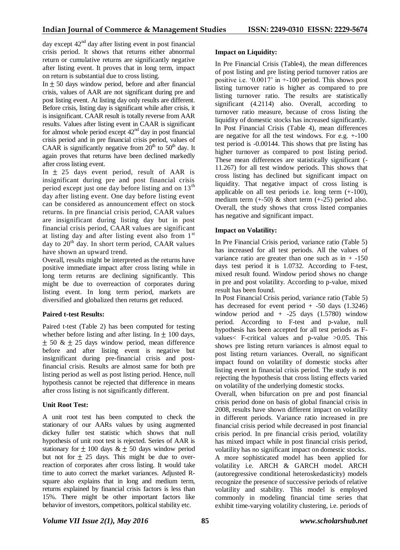day except  $42<sup>nd</sup>$  day after listing event in post financial crisis period. It shows that returns either abnormal return or cumulative returns are significantly negative after listing event. It proves that in long term, impact on return is substantial due to cross listing.

In  $\pm$  50 days window period, before and after financial crisis, values of AAR are not significant during pre and post listing event. At listing day only results are different. Before crisis, listing day is significant while after crisis, it is insignificant. CAAR result is totally reverse from AAR results. Values after listing event in CAAR is significant for almost whole period except  $42<sup>nd</sup>$  day in post financial crisis period and in pre financial crisis period, values of CAAR is significantly negative from  $20<sup>th</sup>$  to 50<sup>th</sup> day. It again proves that returns have been declined markedly after cross listing event.

In  $\pm$  25 days event period, result of AAR is insignificant during pre and post financial crisis period except just one day before listing and on  $13<sup>th</sup>$ day after listing event. One day before listing event can be considered as announcement effect on stock returns. In pre financial crisis period, CAAR values are insignificant during listing day but in post financial crisis period, CAAR values are significant at listing day and after listing event also from  $1<sup>st</sup>$ day to  $20<sup>th</sup>$  day. In short term period, CAAR values have shown an upward trend.

Overall, results might be interpreted as the returns have positive immediate impact after cross listing while in long term returns are declining significantly. This might be due to overreaction of corporates during listing event. In long term period, markets are diversified and globalized then returns get reduced.

## **Paired t-test Results:**

Paired t-test (Table 2) has been computed for testing whether before listing and after listing. In  $\pm$  100 days,  $\pm$  50 &  $\pm$  25 days window period, mean difference before and after listing event is negative but insignificant during pre-financial crisis and postfinancial crisis. Results are almost same for both pre listing period as well as post listing period. Hence, null hypothesis cannot be rejected that difference in means after cross listing is not significantly different.

## **Unit Root Test:**

A unit root test has been computed to check the stationary of our AARs values by using augmented dickey fuller test statistic which shows that null hypothesis of unit root test is rejected. Series of AAR is stationary for  $\pm$  100 days  $\& \pm 50$  days window period but not for  $\pm$  25 days. This might be due to overreaction of corporates after cross listing. It would take time to auto correct the market variances. Adjusted Rsquare also explains that in long and medium term, returns explained by financial crisis factors is less than 15%. There might be other important factors like behavior of investors, competitors, political stability etc.

## **Impact on Liquidity:**

In Pre Financial Crisis (Table4), the mean differences of post listing and pre listing period turnover ratios are positive i.e. '0.0017' in +-100 period. This shows post listing turnover ratio is higher as compared to pre listing turnover ratio. The results are statistically significant (4.2114) also. Overall, according to turnover ratio measure, because of cross listing the liquidity of domestic stocks has increased significantly. In Post Financial Crisis (Table 4), mean differences are negative for all the test windows. For e.g. +-100 test period is -0.00144. This shows that pre listing has higher turnover as compared to post listing period. These mean differences are statistically significant (- 11.267) for all test window periods. This shows that cross listing has declined but significant impact on liquidity. That negative impact of cross listing is applicable on all test periods i.e. long term (+-100), medium term  $(+-50)$  & short term  $(+-25)$  period also. Overall, the study shows that cross listed companies has negative and significant impact.

## **Impact on Volatility:**

In Pre Financial Crisis period, variance ratio (Table 5) has increased for all test periods. All the values of variance ratio are greater than one such as in  $+150$ days test period it is 1.0732. According to F-test, mixed result found. Window period shows no change in pre and post volatility. According to p-value, mixed result has been found.

In Post Financial Crisis period, variance ratio (Table 5) has decreased for event period  $+$  -50 days (1.3246) window period and  $+$  -25 days (1.5780) window period. According to F-test and p-value, null hypothesis has been accepted for all test periods as Fvalues< F-critical values and p-value >0.05. This shows pre listing return variances is almost equal to post listing return variances. Overall, no significant impact found on volatility of domestic stocks after listing event in financial crisis period. The study is not rejecting the hypothesis that cross listing effects varied on volatility of the underlying domestic stocks.

Overall, when bifurcation on pre and post financial crisis period done on basis of global financial crisis in 2008, results have shown different impact on volatility in different periods. Variance ratio increased in pre financial crisis period while decreased in post financial crisis period. In pre financial crisis period, volatility has mixed impact while in post financial crisis period, volatility has no significant impact on domestic stocks. A more sophisticated model has been applied for volatility i.e. ARCH & GARCH model. ARCH (autoregressive conditional heteroskedasticity) models recognize the presence of successive periods of relative volatility and stability. This model is employed commonly in modeling financial time series that exhibit time-varying volatility clustering, i.e. periods of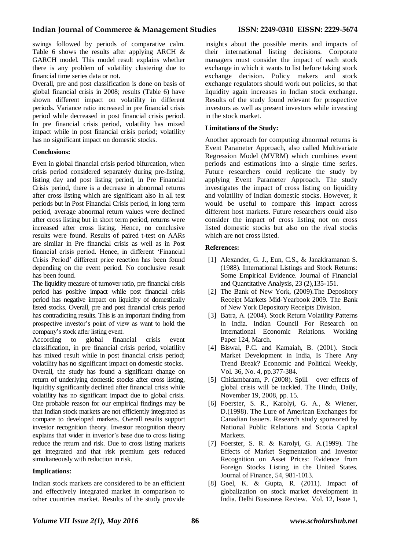swings followed by periods of comparative calm. Table 6 shows the results after applying ARCH & GARCH model. This model result explains whether there is any problem of volatility clustering due to financial time series data or not.

Overall, pre and post classification is done on basis of global financial crisis in 2008; results (Table 6) have shown different impact on volatility in different periods. Variance ratio increased in pre financial crisis period while decreased in post financial crisis period. In pre financial crisis period, volatility has mixed impact while in post financial crisis period; volatility has no significant impact on domestic stocks.

## **Conclusions:**

Even in global financial crisis period bifurcation, when crisis period considered separately during pre-listing, listing day and post listing period, in Pre Financial Crisis period, there is a decrease in abnormal returns after cross listing which are significant also in all test periods but in Post Financial Crisis period, in long term period, average abnormal return values were declined after cross listing but in short term period, returns were increased after cross listing. Hence, no conclusive results were found. Results of paired t-test on AARs are similar in Pre financial crisis as well as in Post financial crisis period. Hence, in different 'Financial Crisis Period' different price reaction has been found depending on the event period. No conclusive result has been found.

The liquidity measure of turnover ratio, pre financial crisis period has positive impact while post financial crisis period has negative impact on liquidity of domestically listed stocks. Overall, pre and post financial crisis period has contradicting results. This is an important finding from prospective investor's point of view as want to hold the company's stock after listing event.

According to global financial crisis event classification, in pre financial crisis period, volatility has mixed result while in post financial crisis period; volatility has no significant impact on domestic stocks. Overall, the study has found a significant change on return of underlying domestic stocks after cross listing, liquidity significantly declined after financial crisis while volatility has no significant impact due to global crisis. One probable reason for our empirical findings may be that Indian stock markets are not efficiently integrated as compare to developed markets. Overall results support investor recognition theory. Investor recognition theory explains that wider in investor's base due to cross listing reduce the return and risk. Due to cross listing markets get integrated and that risk premium gets reduced simultaneously with reduction in risk.

## **Implications:**

Indian stock markets are considered to be an efficient and effectively integrated market in comparison to other countries market. Results of the study provide

insights about the possible merits and impacts of their international listing decisions. Corporate managers must consider the impact of each stock exchange in which it wants to list before taking stock exchange decision. Policy makers and stock exchange regulators should work out policies, so that liquidity again increases in Indian stock exchange. Results of the study found relevant for prospective investors as well as present investors while investing in the stock market.

#### **Limitations of the Study:**

Another approach for computing abnormal returns is Event Parameter Approach, also called Multivariate Regression Model (MVRM) which combines event periods and estimations into a single time series. Future researchers could replicate the study by applying Event Parameter Approach. The study investigates the impact of cross listing on liquidity and volatility of Indian domestic stocks. However, it would be useful to compare this impact across different host markets. Future researchers could also consider the impact of cross listing not on cross listed domestic stocks but also on the rival stocks which are not cross listed.

#### **References:**

- [1] Alexander, G. J., Eun, C.S., & Janakiramanan S. (1988). International Listings and Stock Returns: Some Empirical Evidence. Journal of Financial and Quantitative Analysis, 23 (2),135-151.
- [2] The Bank of New York, (2009).The Depository Receipt Markets Mid-Yearbook 2009. The Bank of New York Depository Receipts Division.
- [3] Batra, A. (2004). Stock Return Volatility Patterns in India. Indian Council For Research on International Economic Relations. Working Paper 124, March.
- [4] Biswal, P.C. and Kamaiah, B. (2001). Stock Market Development in India, Is There Any Trend Break? Economic and Political Weekly, Vol. 36, No. 4, pp.377-384.
- [5] Chidambaram, P. (2008). Spill over effects of global crisis will be tackled. The Hindu, Daily, November 19, 2008, pp. 15.
- [6] Foerster, S. R., Karolyi, G. A., & Wiener, D.(1998). The Lure of American Exchanges for Canadian Issuers. Research study sponsored by National Public Relations and Scotia Capital Markets.
- [7] Foerster, S. R. & Karolyi, G. A.(1999). The Effects of Market Segmentation and Investor Recognition on Asset Prices: Evidence from Foreign Stocks Listing in the United States. Journal of Finance, 54, 981-1013.
- [8] Goel, K. & Gupta, R. (2011). Impact of globalization on stock market development in India. Delhi Bussiness Review. Vol. 12, Issue 1,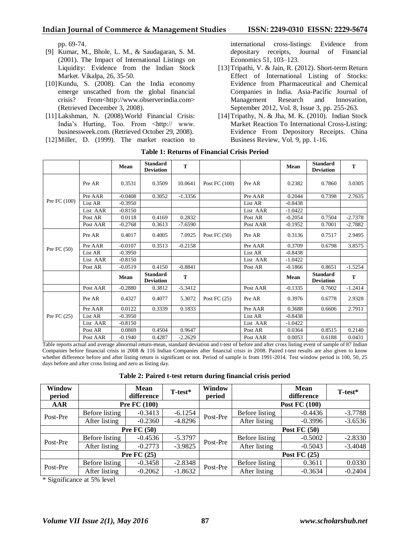pp. 69-74.

- [9] Kumar, M., Bhole, L. M., & Saudagaran, S. M. (2001). The Impact of International Listings on Liquidity: Evidence from the Indian Stock Market. Vikalpa, 26, 35-50.
- [10]Kundu, S. (2008). Can the India economy emerge unscathed from the global financial crisis? From<http://www.observerindia.com> (Retrieved December 3, 2008).
- [11] Lakshman, N. (2008).World Financial Crisis: India's Hurting, Too. From <http:// www. businessweek.com. (Retrieved October 29, 2008).
- [12]Miller, D. (1999). The market reaction to

international cross-listings: Evidence from depositary receipts, Journal of Financial Economics 51, 103–123.

- [13] Tripathi, V. & Jain, R. (2012). Short-term Return Effect of International Listing of Stocks: Evidence from Pharmaceutical and Chemical Companies in India. Asia-Pacific Journal of Management Research and Innovation, September 2012, Vol. 8, Issue 3, pp. 255-263.
- [14]Tripathy, N. & Jha, M. K. (2010). Indian Stock Market Reaction To International Cross-Listing: Evidence From Depository Receipts. China Business Review, Vol. 9, pp. 1-16.

|                |          | Mean      | <b>Standard</b><br><b>Deviation</b> | T         |                |          | Mean      | <b>Standard</b><br><b>Deviation</b> | T         |
|----------------|----------|-----------|-------------------------------------|-----------|----------------|----------|-----------|-------------------------------------|-----------|
|                | Pre AR   | 0.3531    | 0.3509                              | 10.0641   | Post FC (100)  | Pre AR   | 0.2382    | 0.7860                              | 3.0305    |
|                | Pre AAR  | $-0.0408$ | 0.3052                              | $-1.3356$ |                | Pre AAR  | 0.2044    | 0.7398                              | 2.7635    |
| Pre FC $(100)$ | List AR  | $-0.3950$ |                                     |           |                | List AR  | $-0.8438$ |                                     |           |
|                | List AAR | $-0.8150$ |                                     |           |                | List AAR | $-1.0422$ |                                     |           |
|                | Post AR  | 0.0118    | 0.4169                              | 0.2832    |                | Post AR  | $-0.2054$ | 0.7504                              | $-2.7378$ |
|                | Post AAR | $-0.2768$ | 0.3613                              | $-7.6590$ |                | Post AAR | $-0.1952$ | 0.7001                              | $-2.7882$ |
|                | Pre AR   | 0.4017    | 0.4005                              | 7.0925    | Post FC $(50)$ | Pre AR   | 0.3136    | 0.7517                              | 2.9495    |
|                | Pre AAR  | $-0.0107$ | 0.3513                              | $-0.2158$ |                | Pre AAR  | 0.3709    | 0.6798                              | 3.8575    |
| Pre FC $(50)$  | List AR  | $-0.3950$ |                                     |           |                | List AR  | $-0.8438$ |                                     |           |
|                | List AAR | $-0.8150$ |                                     |           |                | List AAR | $-1.0422$ |                                     |           |
|                | Post AR  | $-0.0519$ | 0.4150                              | $-0.8841$ |                | Post AR  | $-0.1866$ | 0.8651                              | $-1.5254$ |
|                |          | Mean      | <b>Standard</b><br><b>Deviation</b> | T         |                |          | Mean      | <b>Standard</b><br><b>Deviation</b> | T         |
|                | Post AAR | $-0.2880$ | 0.3812                              | $-5.3412$ |                | Post AAR | $-0.1335$ | 0.7602                              | $-1.2414$ |
| Pre FC $(25)$  | Pre AR   | 0.4327    | 0.4077                              | 5.3072    | Post FC $(25)$ | Pre AR   | 0.3976    | 0.6778                              | 2.9328    |
|                | Pre AAR  | 0.0122    | 0.3339                              | 0.1833    |                | Pre AAR  | 0.3688    | 0.6606                              | 2.7911    |
|                | List AR  | $-0.3950$ |                                     |           |                | List AR  | $-0.8438$ |                                     |           |
|                | List AAR | $-0.8150$ |                                     |           |                | List AAR | $-1.0422$ |                                     |           |
|                | Post AR  | 0.0869    | 0.4504                              | 0.9647    |                | Post AR  | 0.0364    | 0.8515                              | 0.2140    |
|                | Post AAR | $-0.1940$ | 0.4287                              | $-2.2629$ |                | Post AAR | 0.0053    | 0.6188                              | 0.0431    |

#### **Table 1: Returns of Financial Crisis Period**

Table reports actual and average abnormal return-mean, standard deviation and t-test of before and after cross listing event of sample of 87 Indian Companies before financial crisis in 2008 & 116 Indian Companies after financial crisis in 2008. Paired t-test results are also given to know whether difference before and after listing return is significant or not. Period of sample is from 1991-2014. Test window period is 100, 50, 25 days before and after cross listing and zero as listing day.

**Table 2: Paired t-test return during financial crisis period**

| <b>Window</b><br>period |                | <b>Mean</b><br>difference | T-test*   | Window<br>period |                      | <b>Mean</b><br>difference | T-test*   |  |
|-------------------------|----------------|---------------------------|-----------|------------------|----------------------|---------------------------|-----------|--|
| <b>AAR</b>              |                | <b>Pre FC (100)</b>       |           |                  | <b>Post FC (100)</b> |                           |           |  |
| Post-Pre                | Before listing | $-0.3413$                 | $-6.1254$ | Post-Pre         | Before listing       | $-0.4436$                 | $-3.7788$ |  |
|                         | After listing  | $-0.2360$                 | $-4.8296$ |                  | After listing        | $-0.3996$                 | $-3.6536$ |  |
|                         |                | Pre $FC(50)$              |           |                  | <b>Post FC (50)</b>  |                           |           |  |
| Post-Pre                | Before listing | $-0.4536$                 | $-5.3797$ |                  | Before listing       | $-0.5002$                 | $-2.8330$ |  |
|                         | After listing  | $-0.2773$                 | $-3.9825$ | Post-Pre         | After listing        | $-0.5043$                 | $-3.4048$ |  |
|                         |                | Pre $FC(25)$              |           |                  | <b>Post FC (25)</b>  |                           |           |  |
| Post-Pre                | Before listing | $-0.3458$                 | $-2.8348$ | Post-Pre         | Before listing       | 0.3611                    | 0.0330    |  |
|                         | After listing  | $-0.2062$                 | $-1.8632$ |                  | After listing        | $-0.3634$                 | $-0.2404$ |  |

\* Significance at 5% level